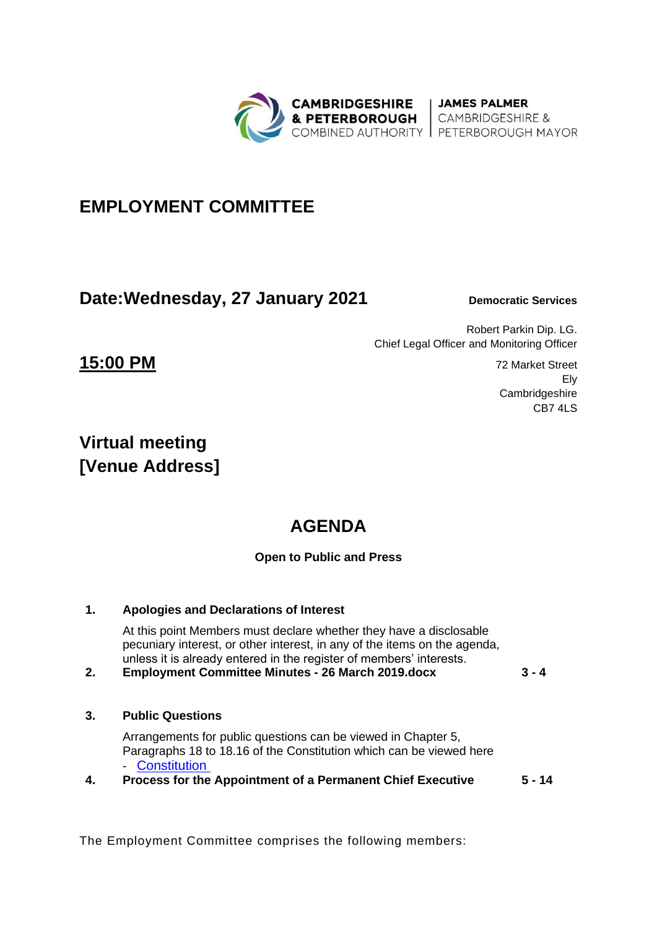

# **EMPLOYMENT COMMITTEE**

## **Date: Wednesday, 27 January 2021** Democratic Services

Ely

**Cambridgeshire** CB7 4LS

Robert Parkin Dip. LG. Chief Legal Officer and Monitoring Officer

**15:00 PM** 72 Market Street

# **Virtual meeting [Venue Address]**

# **AGENDA**

## **Open to Public and Press**

## **1. Apologies and Declarations of Interest**

At this point Members must declare whether they have a disclosable pecuniary interest, or other interest, in any of the items on the agenda, unless it is already entered in the register of members' interests.

**2. Employment Committee Minutes - 26 March 2019.docx 3 - 4**

### **3. Public Questions**

Arrangements for public questions can be viewed in Chapter 5, Paragraphs 18 to 18.16 of the Constitution which can be viewed here **[Constitution](https://cambridgeshirepeterborough-ca.gov.uk/assets/Transparency/Constitution-Final-2020-11-06-for-website.pdf)** 

**4. Process for the Appointment of a Permanent Chief Executive 5 - 14**

The Employment Committee comprises the following members: